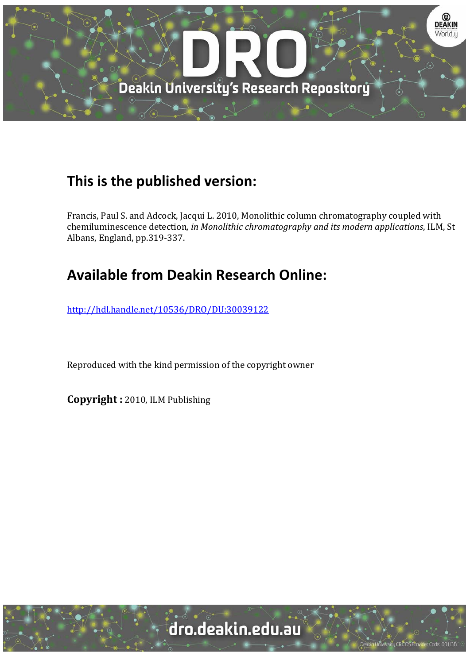

## **This is the published version:**

Francis, Paul S. and Adcock, Jacqui L. 2010, Monolithic column chromatography coupled with chemiluminescence detection*, in Monolithic chromatography and its modern applications*, ILM, St Albans, England, pp.319-337.

# **Available from Deakin Research Online:**

http://hdl.handle.net/10536/DRO/DU:30039122

Reproduced with the kind permission of the copyright owner

**Copyright :** 2010, ILM Publishing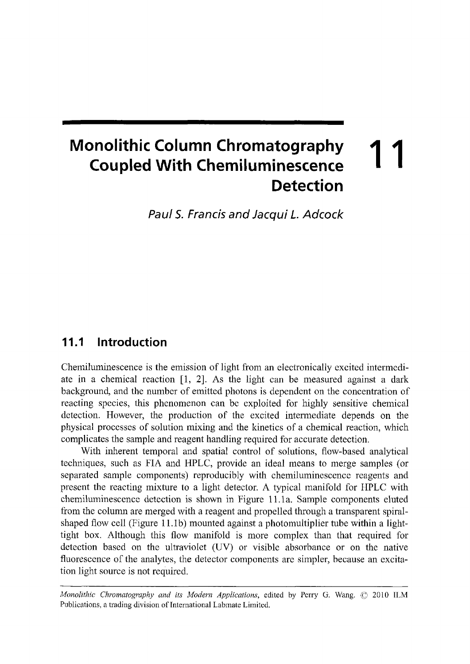## **Monolithic Column Chromatography Coupled With Chemiluminescence Detection 11**

**Paul S. Francis and Jacqui** *L.* **Adcock** 

### **11.1 Introduction**

Chemiluminescence is the emission of light from an electronically excited intermediate in a chemical reaction [l, 2]. As the light can be measured against a dark background, and the number of emitted photons is dependent on the concentration of reacting species, this phenomenon can be exploited for highly sensitive chemical detection. However, the production of the excited intermediate depends on the physical processes of solution mixing and the kinetics of a chemical reaction, which complicates the sample and reagent handling required for accurate detection.

With inherent temporal and spatial control of solutions, flow-based analytical techniques, such as FIA and HPLC, provide an ideal means to merge samples (or separated sample components) reproducibly with chemiluminescence reagents and present the reacting mixture to a light detector. A typical manifold for HPLC with chemiluminescence detection is shown in Figure 11. la. Sample components eluted from the column are merged with a reagent and propelled through a transparent spiralshaped flow cell (Figure 11.1b) mounted against a photomultiplier tube within a lighttight box. Although this flow manifold is more complex than that required for detection based on the ultraviolet (UV) or visible absorbance or on the native fluorescence of the analytes, the detector components are simpler, because an excitation light source is not required.

*Monolithic Chromatography and its Modern Applications,* edited by Perry G. Wang. © 2010 ILM Publications, a trading division of International Labmate Limited.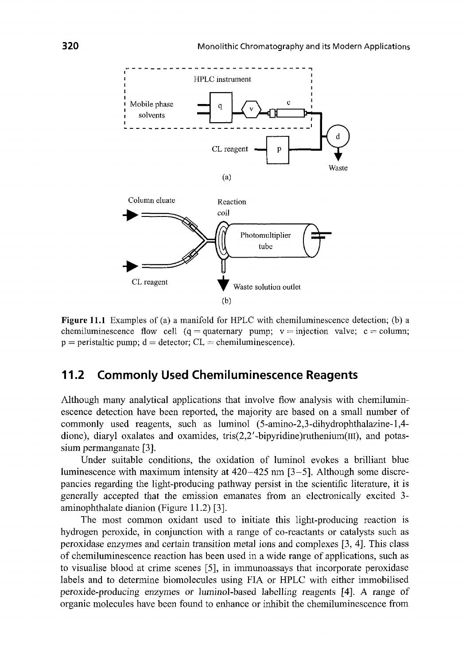

**Figure 11.1** Examples of (a) a manifold for HPLC with chemiluminescence detection; (b) a chemiluminescence flow cell (q = quaternary pump;  $v =$  injection valve; c = column;  $p =$  peristaltic pump;  $d =$  detector;  $CL =$  chemiluminescence).

(b)

#### **11.2 Commonly Used Chemiluminescence Reagents**

Although many analytical applications that involve flow analysis with chemiluminescence detection have been reported, the majority are based on a small number of commonly used reagents, such as luminol (5-amino-2,3-dihydrophthalazine-l,4 dione), diaryl oxalates and oxamides, tris $(2,2'$ -bipyridine)ruthenium( $III$ ), and potassium permanganate [3].

Under suitable conditions, the oxidation of luminol evokes a brilliant blue luminescence with maximum intensity at 420-425 nm [3-5]. Although some discrepancies regarding the light-producing pathway persist in the scientific literature, it is generally accepted that the emission emanates from an electronically excited 3 aminophthalate dianion (Figure 11.2) [3].

The most common oxidant used to initiate this light-producing reaction is hydrogen peroxide, in conjunction with a range of co-reactants or catalysts such as peroxidase enzymes and certain transition metal ions and complexes [3, 4]. This class of chemiluminescence reaction has been used in a wide range of applications, such as to visualise blood at crime scenes [5], in immunoassays that incorporate peroxidase labels and to determine biomolecules using FIA or HPLC with either immobilised peroxide-producing enzymes or luminol-based labelling reagents [4]. A range of organic molecules have been found to enhance or inhibit the chemiluminescence from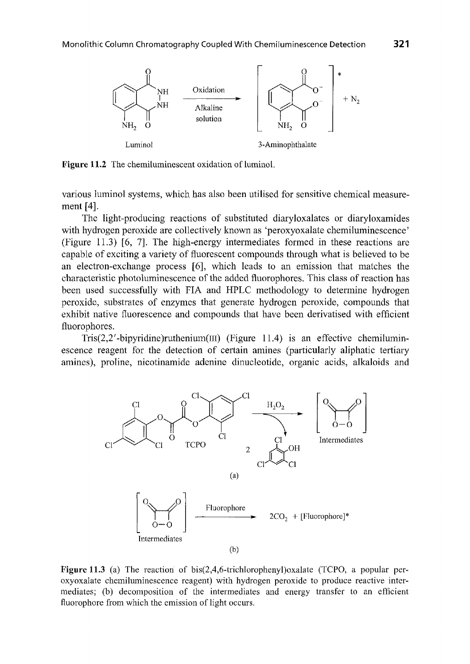

**Figure 11.2** The chemiluminescent oxidation of luminol.

various luminol systems, which has also been utilised for sensitive chemical measurement [4].

The light-producing reactions of substituted diaryloxalates or diaryloxamides with hydrogen peroxide are collectively known as 'peroxyoxalate chemiluminescence' (Figure 11.3) [6, 7]. The high-energy intermediates formed in these reactions are capable of exciting a variety of fluorescent compounds through what is believed to be an electron-exchange process [6], which leads to an emission that matches the characteristic photoluminescence of the added fluorophores. This class of reaction has been used successfully with FIA and HPLC methodology to determine hydrogen peroxide, substrates of enzymes that generate hydrogen peroxide, compounds that exhibit native fluorescence and compounds that have been derivatised with efficient fiuorophores.

Tris $(2,2'$ -bipyridine)ruthenium(III) (Figure 11.4) is an effective chemiluminescence reagent for the detection of certain amines (particularly aliphatic tertiary amines), proline, nicotinamide adenine dinucleotide, organic acids, alkaloids and



**Figure 11.3** (a) The reaction of bis(2,4,6-trichlorophenyl)oxalate (TCPO, a popular peroxyoxalate chemiluminescence reagent) with hydrogen peroxide to produce reactive intermediates; (b) decomposition of the intermediates and energy transfer to an efficient fluorophore from which the emission of light occurs.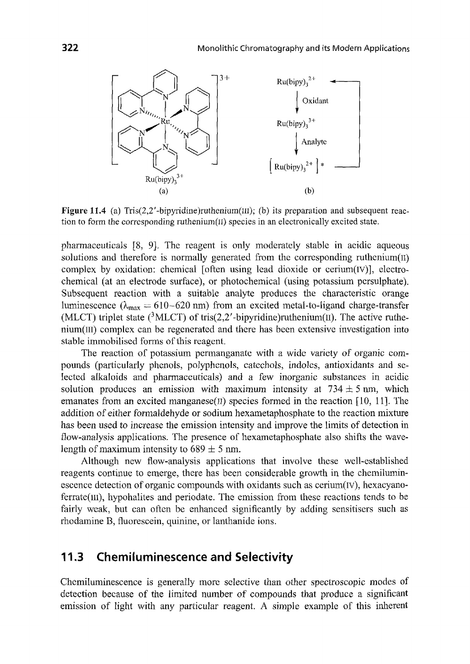

Figure 11.4 (a) Tris(2,2'-bipyridine)ruthenium(III); (b) its preparation and subsequent reaction to form the corresponding ruthenium $(I)$  species in an electronically excited state.

pharmaceuticals [8, 9]. The reagent is only moderately stable in acidic aqueous solutions and therefore is normally generated from the corresponding ruthenium $(II)$ complex by oxidation: chemical [often using lead dioxide or cerium( $IV$ )], electrochemical (at an electrode surface), or photochemical (using potassium persulphate). Subsequent reaction with a suitable analyte produces the characteristic orange luminescence ( $\lambda_{\text{max}} = 610 - 620$  nm) from an excited metal-to-ligand charge-transfer (MLCT) triplet state (<sup>3</sup>MLCT) of tris(2,2'-bipyridine)ruthenium(II). The active ruthenium(m) complex can be regenerated and there has been extensive investigation into stable immobilised forms of this reagent.

The reaction of potassium permanganate with a wide variety of organic compounds (particularly phenols, polyphenols, catechols, indoles, antioxidants and selected alkaloids and pharmaceuticals) and a few inorganic substances in acidic solution produces an emission with maximum intensity at  $734 \pm 5$  nm, which emanates from an excited manganese(II) species formed in the reaction  $[10, 11]$ . The addition of either formaldehyde or sodium hexametaphosphate to the reaction mixture has been used to increase the emission intensity and improve the limits of detection in flow-analysis applications. The presence of hexametaphosphate also shifts the wavelength of maximum intensity to  $689 \pm 5$  nm.

Although new flow-analysis applications that involve these well-established reagents continue to emerge, there has been considerable growth in the chemiluminescence detection of organic compounds with oxidants such as cerium(rv), hexacyanoferrate(m), hypohalites and periodate. The emission from these reactions tends to be fairly weak, but can often be enhanced significantly by adding sensitisers such as rhodamine B, fluorescein, quinine, or lanthanide ions.

### **11.3 Chemiluminescence and Selectivity**

Chemiluminescence is generally more selective than other spectroscopic modes of detection because of the limited number of compounds that produce a significant emission of light with any particular reagent. A simple example of this inherent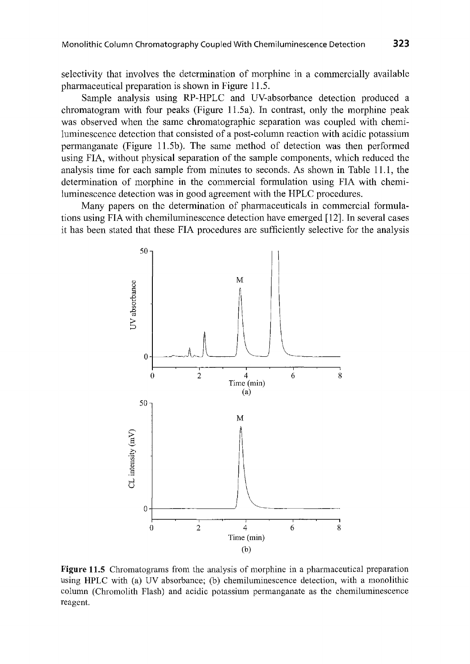selectivity that involves the determination of morphine in a commercially available pharmaceutical preparation is shown in Figure 11.5.

Sample analysis using RP-HPLC and UV-absorbance detection produced a chromatogram with four peaks (Figure 11.5a). In contrast, only the morphine peak was observed when the same chromatographic separation was coupled with chemiluminescence detection that consisted of a post-column reaction with acidic potassium permanganate (Figure 11.5b). The same method of detection was then performed using FIA, without physical separation of the sample components, which reduced the analysis time for each sample from minutes to seconds. As shown in Table 11.1, the determination of morphine in the commercial formulation using FIA with chemiluminescence detection was in good agreement with the HPLC procedures.

Many papers on the determination of pharmaceuticals in commercial formulations using FIA with chemiluminescence detection have emerged [12]. In several cases it has been stated that these FIA procedures are sufficiently selective for the analysis



Figure **11.5** Chromatograms from the analysis of morphine in a pharmaceutical preparation using HPLC with (a) UV absorbance; (b) chemiluminescence detection, with a monolithic column (Chromolith Flash) and acidic potassium permanganate as the chemiluminescence reagent.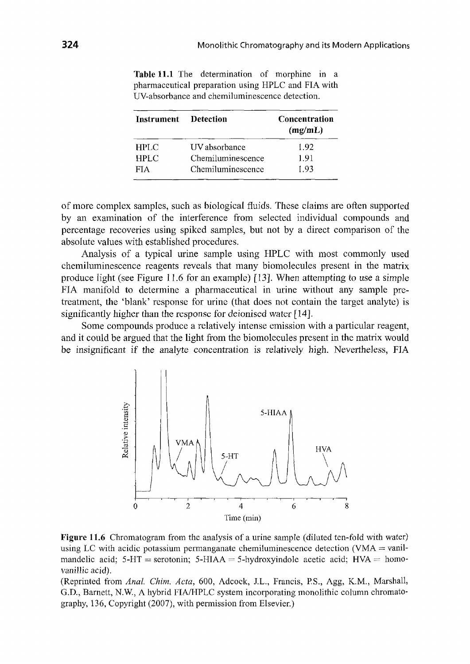| Instrument Detection |                   | Concentration<br>(mg/mL) |  |  |
|----------------------|-------------------|--------------------------|--|--|
| <b>HPLC</b>          | UV absorbance     | 1.92                     |  |  |
| <b>HPLC</b>          | Chemiluminescence | 1.91                     |  |  |
| <b>FIA</b>           | Chemiluminescence | 1.93                     |  |  |

**Table 11.1** The determination of morphine in a pharmaceutical preparation using HPLC and FIA with UV-absorbance and chemiluminescence detection.

of more complex samples, such as biological fluids. These claims are often supported by an examination of the interference from selected individual compounds and percentage recoveries using spiked samples, but not by a direct comparison of the absolute values with established procedures.

Analysis of a typical urine sample using HPLC with most commonly used chemiluminescence reagents reveals that many biomolecules present in the matrix produce light (see Figure 11.6 for an example) [13]. When attempting to use a simple FIA manifold to determine a pharmaceutical in urine without any sample pretreatment, the 'blank' response for urine (that does not contain the target analyte) is significantly higher than the response for deionised water *[* 14].

Some compounds produce a relatively intense emission with a particular reagent, and it could be argued that the light from the biomolecules present in the matrix would be insignificant if the analyte concentration is relatively high. Nevertheless, FIA



**Figure 11.6** Chromatogram from the analysis of a urine sample (diluted ten-fold with water) using LC with acidic potassium permanganate chemiluminescence detection (VMA  $=$  vanilmandelic acid;  $5-HT$  = serotonin;  $5-HIAA = 5-hydroxyindole$  acetic acid;  $HVA = homo$ vanillic acid).

(Reprinted from *Anal. Chim. Acta,* 600, Adcock, J.L., Francis, P.S., Agg, K.M., Marshall, G.D., Barnett, N.W, A hybrid FIA/HPLC system incorporating monolithic column chromatography, 136, Copyright (2007), with permission from Elsevier.)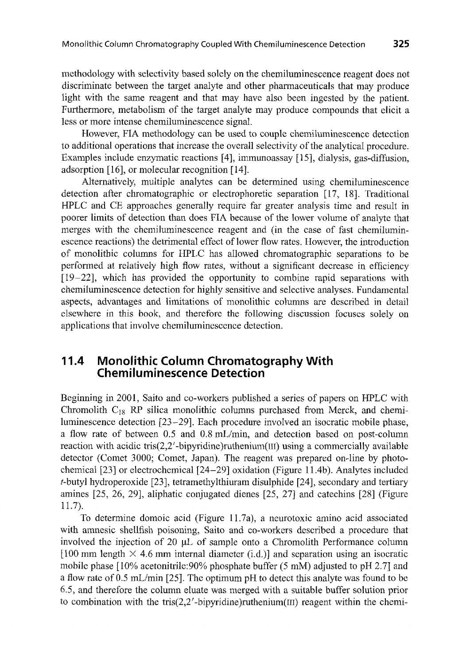methodology with selectivity based solely on the chemiluminescence reagent does not discriminate between the target analyte and other pharmaceuticals that may produce light with the same reagent and that may have also been ingested by the patient. Furthermore, metabolism of the target analyte may produce compounds that elicit a less or more intense chemiluminescence signal.

However, FIA methodology can be used to couple chemiluminescence detection to additional operations that increase the overall selectivity of the analytical procedure. Examples include enzymatic reactions [4], immunoassay [15], dialysis, gas-diffusion, adsorption [16], or molecular recognition [14].

Alternatively, multiple analytes can be determined using chemiluminescence detection after chromatographic or electrophoretic separation [17, 18]. Traditional HPLC and CE approaches generally require far greater analysis time and result in poorer limits of detection than does FIA because of the lower volume of analyte that merges with the chemiluminescence reagent and (in the case of fast chemiluminescence reactions) the detrimental effect of lower flow rates. However, the introduction of monolithic columns for HPLC has allowed chromatographic separations to be performed at relatively high flow rates, without a significant decrease in efficiency [19-22], which has provided the opportunity to combine rapid separations with chemiluminescence detection for highly sensitive and selective analyses. Fundamental aspects, advantages and limitations of monolithic columns are described in detail elsewhere in this book, and therefore the following discussion focuses solely on applications that involve chemiluminescence detection.

### **11.4 Monolithic Column Chromatography With Chemiluminescence Detection**

Beginning in 2001, Saito and co-workers published a series of papers on HPLC with Chromolith  $C_{18}$  RP silica monolithic columns purchased from Merck, and chemiluminescence detection [23-29]. Each procedure involved an isocratic mobile phase, a flow rate of between 0.5 and 0.8 mL/min, and detection based on post-column reaction with acidic tris(2,2'-bipyridine)ruthenium(III) using a commercially available detector (Comet 3000; Comet, Japan). The reagent was prepared on-line by photochemical [23] or electrochemical [24-29] oxidation (Figure 11.4b). Analytes included t-butyl hydroperoxide [23], tetramethylthiuram disulphide [24], secondary and tertiary amines [25, 26, 29], aliphatic conjugated dienes [25, 27] and catechins [28] (Figure  $11.7$ ).

To determine domoic acid (Figure 11.7a), a neurotoxic amino acid associated with amnesic shellfish poisoning, Saito and co-workers described a procedure that involved the injection of 20 µL of sample onto a Chromolith Performance column [100 mm length  $\times$  4.6 mm internal diameter (i.d.)] and separation using an isocratic mobile phase [10% acetonitrile:90% phosphate buffer (5 mM) adjusted to pH 2.7] and a flow rate of 0.5 mL/min [25]. The optimum pH to detect this analyte was found to be 6.5, and therefore the column eluate was merged with a suitable buffer solution prior to combination with the tris(2,2'-bipyridine)ruthenium( $III$ ) reagent within the chemi-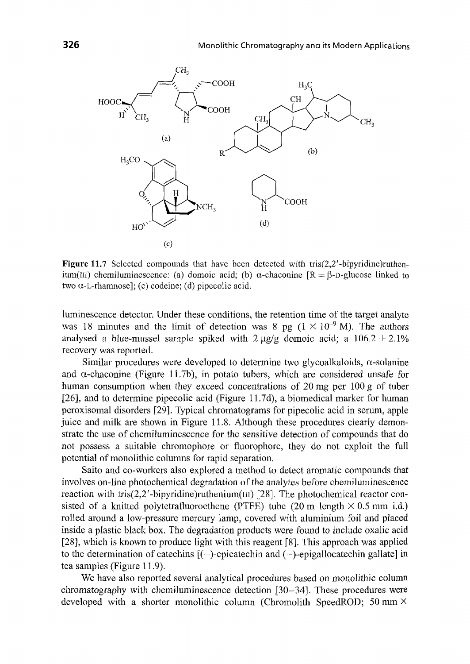

Figure 11.7 Selected compounds that have been detected with tris(2,2'-bipyridine)ruthenium(III) chemiluminescence: (a) domoic acid; (b)  $\alpha$ -chaconine  $[R = \beta$ -D-glucose linked to two  $\alpha$ -L-rhamnose]; (c) codeine; (d) pipecolic acid.

luminescence detector. Under these conditions, the retention time of the target analyte was 18 minutes and the limit of detection was 8 pg ( $1 \times 10^{-9}$  M). The authors analysed a blue-mussel sample spiked with  $2 \mu g/g$  domoic acid; a  $106.2 \pm 2.1\%$ recovery was reported.

Similar procedures were developed to determine two glycoalkaloids,  $\alpha$ -solanine and  $\alpha$ -chaconine (Figure 11.7b), in potato tubers, which are considered unsafe for human consumption when they exceed concentrations of 20 mg per 100 g of tuber [26], and to determine pipecolic acid (Figure l 1.7d), a biomedical marker for human peroxisomal disorders [29]. Typical chromatograms for pipecolic acid in serum, apple juice and milk are shown in Figure 11.8. Although these procedures clearly demonstrate the use of chemiluminescence for the sensitive detection of compounds that do not possess a suitable chromophore or fluorophore, they do not exploit the full potential of monolithic columns for rapid separation.

Saito and co-workers also explored a method to detect aromatic compounds that involves on-line photochemical degradation of the analytes before chemiluminescence reaction with tris(2,2'-bipyridine)ruthenium(III) [28]. The photochemical reactor consisted of a knitted polytetrafluoroethene (PTFE) tube (20 m length  $\times$  0.5 mm i.d.) rolled around a low-pressure mercury lamp, covered with aluminium foil and placed inside a plastic black box. The degradation products were found to include oxalic acid [28], which is known to produce light with this reagent [8]. This approach was applied to the determination of catechins  $[(-)$ -epicatechin and  $(-)$ -epigallocatechin gallate] in tea samples (Figure 11.9).

We have also reported several analytical procedures based on monolithic column chromatography with chemiluminescence detection [30-34]. These procedures were developed with a shorter monolithic column (Chromolith SpeedROD; 50 mm X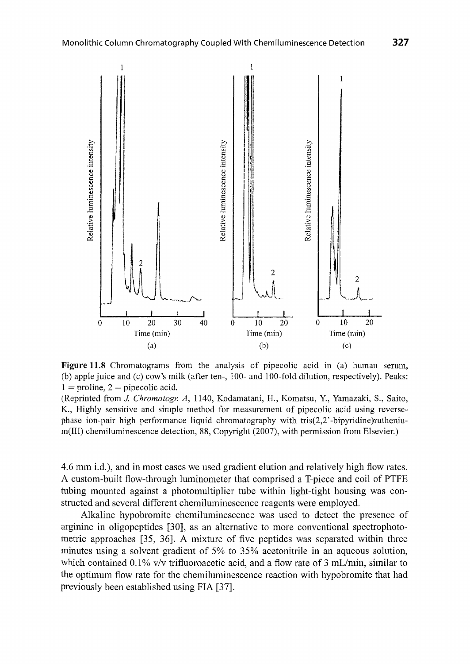

**Figure 11.8** Chromatograms from the analysis of pipecolic acid in (a) human serum, (b) apple juice and (c) cow's milk (after ten-, 100- and 100-fold dilution, respectively). Peaks:  $1 =$  proline,  $2 =$  pipecolic acid.

(Reprinted from *J. Chromatogr. A*, 1140, Kodamatani, H., Komatsu, Y., Yamazaki, S., Saito, K., Highly sensitive and simple method for measurement of pipecolic acid using reversephase ion-pair high performance liquid chromatography with tris(2,2' -bipyridine )ruthenium(III) chemiluminescence detection, 88, Copyright (2007), with permission from Elsevier.)

4.6 mm i.d.), and in most cases we used gradient elution and relatively high flow rates. A custom-built flow-through luminometer that comprised a T-piece and coil of PTFE tubing mounted against a photomultiplier tube within light-tight housing was constructed and several different chemiluminescence reagents were employed.

Alkaline hypobromite chemiluminescence was used to detect the presence of arginine in oligopeptides [30], as an alternative to more conventional spectrophotometric approaches [35, 36]. A mixture of five peptides was separated within three minutes using a solvent gradient of 5% to 35% acetonitrile in an aqueous solution, which contained  $0.1\%$  v/v trifluoroacetic acid, and a flow rate of 3 mL/min, similar to the optimum flow rate for the chemiluminescence reaction with hypobromite that had previously been established using FIA [37].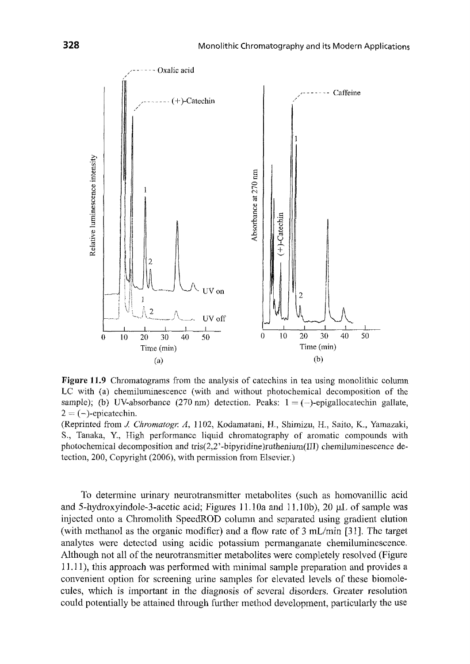

Figure **11.9** Chromatograms from the analysis of catechins in tea using monolithic column LC with (a) chemiluminescence (with and without photochemical decomposition of the sample); (b) UV-absorbance (270 nm) detection. Peaks:  $1 = (-)$ -epigallocatechin gallate,  $2 = (-)$ -epicatechin.

(Reprinted from *J. Chromatogr. A,* 1102, Kodamatani, H., Shimizu, H., Saito, K., Yamazaki, S., Tanaka, Y., High performance liquid chromatography of aromatic compounds with photochemical decomposition and tris $(2,2)$ -bipyridine)ruthenium(III) chemiluminescence detection, 200, Copyright (2006), with permission from Elsevier.)

To determine urinary neurotransmitter metabolites (such as homovanillic acid and 5-hydroxyindole-3-acetic acid; Figures 11.10a and 11.10b), 20 µL of sample was injected onto a Chromolith SpeedROD column and separated using gradient elution (with methanol as the organic modifier) and a flow rate of  $3 \text{ mL/min}$  [31]. The target analytes were detected using acidic potassium permanganate chemiluminescence. Although not all of the neurotransmitter metabolites were completely resolved (Figure 11.11 ), this approach was performed with minimal sample preparation and provides a convenient option for screening urine samples for elevated levels of these biomolecules, which is important in the diagnosis of several disorders. Greater resolution could potentially be attained through further method development, particularly the use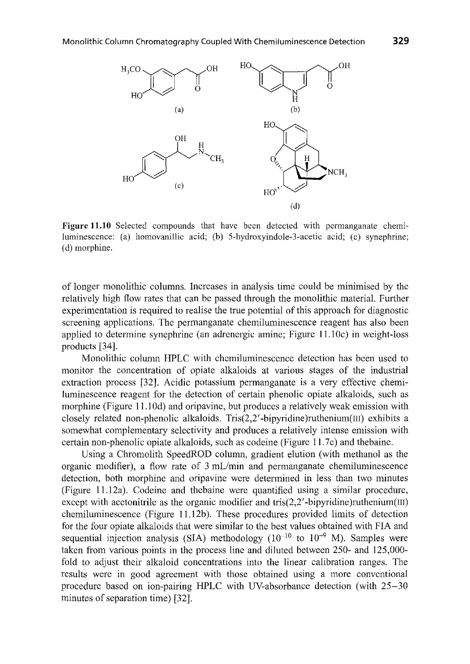

Figure **11.10** Selected compounds that have been detected with permanganate chemiluminescence: (a) hornovanillic acid; (b) 5-hydroxyindole-3-acetic acid; (c) synephrine; ( d) morphine.

of longer monolithic columns. Increases in analysis time could be minimised by the relatively high flow rates that can be passed through the monolithic material. Further experimentation is required to realise the true potential of this approach for diagnostic screening applications. The permanganate chemiluminescence reagent has also been applied to determine synephrine (an adrenergic amine; Figure 11. lOc) in weight-loss products [34].

Monolithic column HPLC with chemiluminescence detection has been used to monitor the concentration of opiate alkaloids at various stages of the industrial extraction process [32]. Acidic potassium permanganate is a very effective chemiluminescence reagent for the detection of certain phenolic opiate alkaloids, such as morphine (Figure 11.10d) and oripavine, but produces a relatively weak emission with closely related non-phenolic alkaloids. Tris $(2,2'$ -bipyridine)ruthenium $(III)$  exhibits a somewhat complementary selectivity and produces a relatively intense emission with certain non-phenolic opiate alkaloids, such as codeine (Figure l 1.7c) and thebaine.

Using a Chromolith SpeedROD column, gradient elution (with methanol as the organic modifier), a flow rate of 3 mL/min and permanganate chemiluminescence detection, both morphine and oripavine were determined in less than two minutes (Figure 11.12a). Codeine and thebaine were quantified using a similar procedure, except with acetonitrile as the organic modifier and tris $(2,2'$ -bipyridine)ruthenium(III) chemiluminescence (Figure 11.12b). These procedures provided limits of detection for the four opiate alkaloids that were similar to the best values obtained with FIA and sequential injection analysis (SIA) methodology  $(10^{-10}$  to  $10^{-9}$  M). Samples were taken from various points in the process line and diluted between 250- and 125,000 fold to adjust their alkaloid concentrations into the linear calibration ranges. The results were in good agreement with those obtained using a more conventional procedure based on ion-pairing HPLC with UV-absorbance detection (with 25-30 minutes of separation time) [32].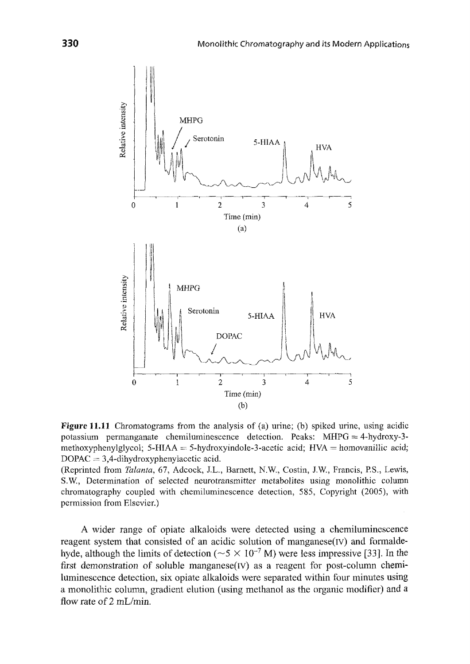

**Figure 11.11** Chromatograms from the analysis of (a) urine; (b) spiked urine, using acidic potassium permanganate chemiluminescence detection. Peaks: MHPG = 4-hydroxy-3 methoxyphenylglycol; 5-HIAA = 5-hydroxyindole-3-acetic acid;  $HVA =$  homovanillic acid;  $DOPAC = 3,4$ -dihydroxyphenylacetic acid.

(Reprinted from *Talanta,* 67, Adcock, J.L., Barnett, N.W., Costin, J.W., Francis, P.S., Lewis, S.W, Determination of selected neurotransmitter metabolites using monolithic column chromatography coupled with chemiluminescence detection, 585, Copyright (2005), with permission from Elsevier.)

A wider range of opiate alkaloids were detected using a chemiluminescence reagent system that consisted of an acidic solution of manganese(Iv) and formaldehyde, although the limits of detection ( $\sim$  5  $\times$  10<sup>-7</sup> M) were less impressive [33]. In the first demonstration of soluble manganese(IV) as a reagent for post-column chemiluminescence detection, six opiate alkaloids were separated within four minutes using a monolithic column, gradient elution (using methanol as the organic modifier) and a flow rate of 2 mL/min.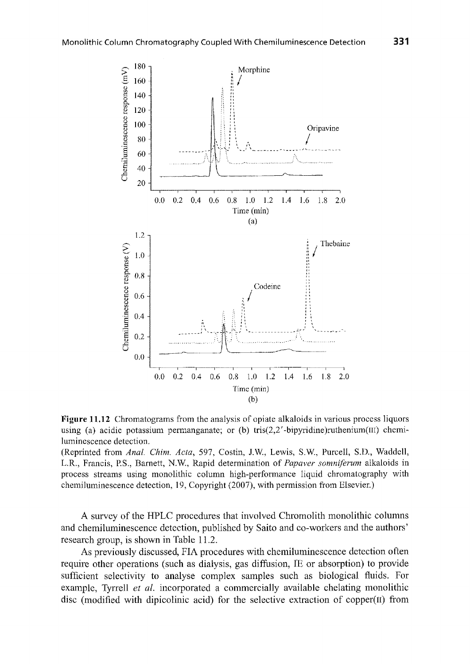

**Figure 11.12** Chromatograms from the analysis of opiate alkaloids in various process liquors using (a) acidic potassium permanganate; or (b) tris( $2,2'$ -bipyridine)ruthenium(III) chemiluminescence detection.

(Reprinted from *Anal. Chim. Acta,* 597, Costin, J.W., Lewis, S.W., Purcell, S.D., Waddell, LR., Francis, P.S., Barnett, N.W., Rapid determination of *Papaver somniferum* alkaloids in process streams using monolithic column high-performance liquid chromatography with chemiluminescence detection, 19, Copyright (2007), with permission from Elsevier.)

A survey of the HPLC procedures that involved Chromolith monolithic columns and chemiluminescence detection, published by Saito and co-workers and the authors' research group, is shown in Table 11.2.

As previously discussed, FIA procedures with chemiluminescence detection often require other operations (such as dialysis, gas diffusion, IE or absorption) to provide sufficient selectivity to analyse complex samples such as biological fluids. For example, Tyrrell *et al.* incorporated a commercially available chelating monolithic disc (modified with dipicolinic acid) for the selective extraction of copper(II) from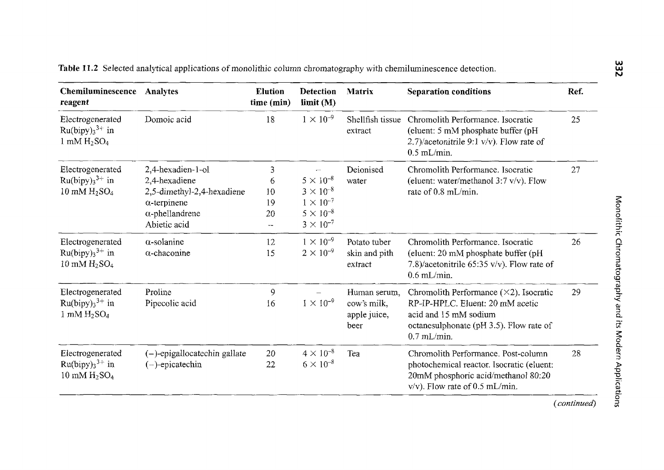| Chemiluminescence<br>reagent                                                       | Analytes                                                                                                                          | <b>Elution</b><br>time (min)   | <b>Detection</b><br>limit(M)                                                                                     | <b>Matrix</b>                                       | <b>Separation conditions</b>                                                                                                                                             | Ref. |
|------------------------------------------------------------------------------------|-----------------------------------------------------------------------------------------------------------------------------------|--------------------------------|------------------------------------------------------------------------------------------------------------------|-----------------------------------------------------|--------------------------------------------------------------------------------------------------------------------------------------------------------------------------|------|
| Electrogenerated<br>$Ru(bipy)33+$ in<br>$1 \text{ mM } H_2SO_4$                    | Domoic acid                                                                                                                       | 18                             | $1 \times 10^{-9}$                                                                                               | Shellfish tissue<br>extract                         | Chromolith Performance. Isocratic<br>(eluent: 5 mM phosphate buffer (pH<br>2.7)/acetonitrile 9:1 $v/v$ ). Flow rate of<br>$0.5$ mL/min.                                  | 25   |
| Electrogenerated<br>$Ru(bipy)33+$ in<br>10 mM $H2SO4$                              | 2.4-hexadien-1-ol<br>2.4-hexadiene<br>2,5-dimethyl-2,4-hexadiene<br>$\alpha$ -terpinene<br>$\alpha$ -phellandrene<br>Abietic acid | 3<br>6<br>10<br>19<br>20<br>-- | ÷.<br>$5 \times 10^{-8}$<br>$3 \times 10^{-8}$<br>$1 \times 10^{-7}$<br>$5 \times 10^{-8}$<br>$3 \times 10^{-7}$ | Deionised<br>water                                  | Chromolith Performance. Isocratic<br>(eluent: water/methanol 3:7 v/v). Flow<br>rate of 0.8 mL/min.                                                                       | 27   |
| Electrogenerated<br>$Ru(bipy)_{3}^{3+}$ in<br>$10 \text{ mM } H_2$ SO <sub>4</sub> | $\alpha$ -solanine<br>$\alpha$ -chaconine                                                                                         | 12<br>15                       | $1 \times 10^{-9}$<br>$2 \times 10^{-9}$                                                                         | Potato tuber<br>skin and pith<br>extract            | Chromolith Performance, Isocratic<br>(eluent: 20 mM phosphate buffer (pH)<br>7.8)/acetonitrile 65:35 v/v). Flow rate of<br>$0.6$ mL/min.                                 | 26   |
| Electrogenerated<br>$Ru(bipy)33+$ in<br>$1 \text{ mM } H_2$ SO <sub>4</sub>        | Proline<br>Pipecolic acid                                                                                                         | 9<br>16                        | $1 \times 10^{-9}$                                                                                               | Human serum,<br>cow's milk,<br>apple juice,<br>beer | Chromolith Performance $(\times 2)$ . Isocratic<br>RP-IP-HPLC. Eluent: 20 mM acetic<br>acid and 15 mM sodium<br>octanesulphonate (pH 3.5). Flow rate of<br>$0.7$ mL/min. | 29   |
| Electrogenerated<br>$Ru(bipy)_{3}^{3+}$ in<br>10 mM $H2SO4$                        | $(-)$ -epigallocatechin gallate<br>$(-)$ -epicatechin                                                                             | 20<br>22                       | $4 \times 10^{-8}$<br>$6 \times 10^{-8}$                                                                         | Tea                                                 | Chromolith Performance, Post-column<br>photochemical reactor. Isocratic (eluent:<br>20mM phosphoric acid/methanol 80:20<br>$v/v$ ). Flow rate of 0.5 mL/min.             | 28   |

 $(continued)$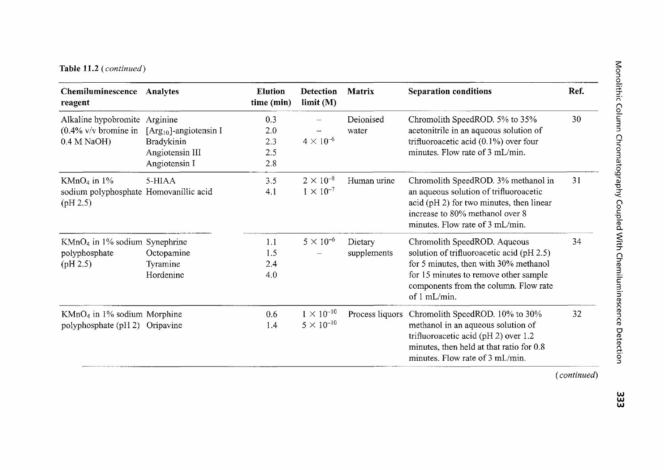### Table 11.2 *(continued)* <sup>~</sup>

| Chemiluminescence<br>reagent                                        | Analytes                                                                                          | <b>Elution</b><br>time (min)    | Detection<br>limit(M)                      | <b>Matrix</b>          | <b>Separation conditions</b>                                                                                                                                                                                         | Ref. |
|---------------------------------------------------------------------|---------------------------------------------------------------------------------------------------|---------------------------------|--------------------------------------------|------------------------|----------------------------------------------------------------------------------------------------------------------------------------------------------------------------------------------------------------------|------|
| Alkaline hypobromite<br>$(0.4\%$ v/v bromine in<br>$0.4 M NaOH$ )   | Arginine<br>[ $Arg_{10}$ ]-angiotensin I<br><b>Bradykinin</b><br>Angiotensin III<br>Angiotensin I | 0.3<br>2.0<br>2.3<br>2.5<br>2.8 | $4 \times 10^{-6}$                         | Deionised<br>water     | Chromolith SpeedROD. 5% to 35%<br>acetonitrile in an aqueous solution of<br>trifluoroacetic acid $(0.1\%)$ over four<br>minutes. Flow rate of 3 mL/min.                                                              | 30   |
| $KMnO4$ in 1%<br>sodium polyphosphate Homovanillic acid<br>(pH 2.5) | 5-HIAA                                                                                            | 3.5<br>4.1                      | $2 \times 10^{-8}$<br>$1 \times 10^{-7}$   | Human urine            | Chromolith SpeedROD. 3% methanol in<br>an aqueous solution of trifluoroacetic<br>acid (pH 2) for two minutes, then linear<br>increase to 80% methanol over 8<br>minutes. Flow rate of 3 mL/min.                      | 31   |
| $KMnO4$ in 1% sodium Synephrine<br>polyphosphate<br>(pH 2.5)        | Octopamine<br>Tyramine<br>Hordenine                                                               | 1.1<br>1.5<br>2,4<br>4.0        | $5 \times 10^{-6}$                         | Dietary<br>supplements | Chromolith SpeedROD. Aqueous<br>solution of trifluoroacetic acid (pH 2.5)<br>for 5 minutes, then with 30% methanol<br>for 15 minutes to remove other sample<br>components from the column. Flow rate<br>of 1 mL/min. | 34   |
| $KMnO4$ in 1% sodium Morphine<br>polyphosphate (pH 2) Oripavine     |                                                                                                   | 0.6<br>1.4                      | $1 \times 10^{-10}$<br>$5 \times 10^{-10}$ | Process liquors        | Chromolith SpeedROD. 10% to 30%<br>methanol in an aqueous solution of<br>trifluoroacetic acid (pH 2) over 1.2<br>minutes, then held at that ratio for 0.8<br>minutes. Flow rate of 3 mL/min.                         | 32   |

w w w

*(continued)*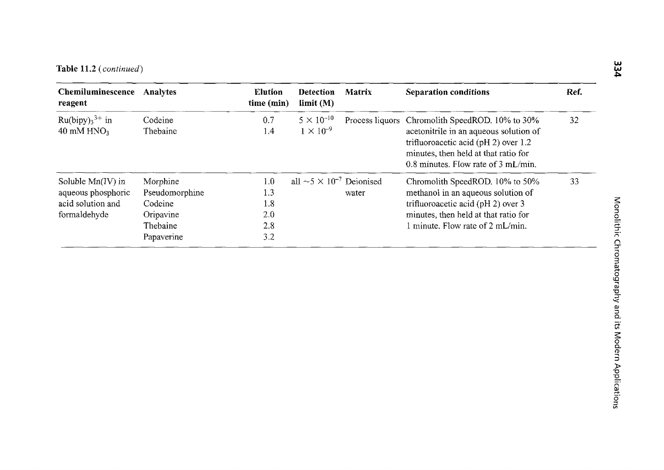| Chemiluminescence<br>reagent                                                   | Analytes                                                                     | <b>Elution</b><br>time (min)           | <b>Detection</b><br>$\lim$ it (M)                | <b>Matrix</b> | <b>Separation conditions</b>                                                                                                                                                                                                    | Ref. |
|--------------------------------------------------------------------------------|------------------------------------------------------------------------------|----------------------------------------|--------------------------------------------------|---------------|---------------------------------------------------------------------------------------------------------------------------------------------------------------------------------------------------------------------------------|------|
| $Ru(bipy)33+$ in<br>40 mM HNO <sub>3</sub>                                     | Codeine<br>Thebaine                                                          | 0.7<br>1.4                             | $5 \times 10^{-10}$<br>$1 \times 10^{-9}$        |               | Process liquors Chromolith SpeedROD. 10% to 30%<br>acetonitrile in an aqueous solution of<br>trifluoroacetic acid ( $pH 2$ ) over 1.2<br>minutes, then held at that ratio for<br>0.8 minutes. Flow rate of $3 \text{ mL/min}$ . | 32   |
| Soluble $Mn(IV)$ in<br>aqueous phosphoric<br>acid solution and<br>formaldehyde | Morphine<br>Pseudomorphine<br>Codeine<br>Oripavine<br>Thebaine<br>Papaverine | 1.0<br>1.3<br>1.8<br>2.0<br>2.8<br>3.2 | all $\sim$ 5 $\times$ 10 <sup>-7</sup> Deionised | water         | Chromolith SpeedROD. 10% to 50%<br>methanol in an aqueous solution of<br>trifluoroacetic acid ( $pH 2$ ) over 3<br>minutes, then held at that ratio for<br>1 minute. Flow rate of 2 mL/min.                                     | 33   |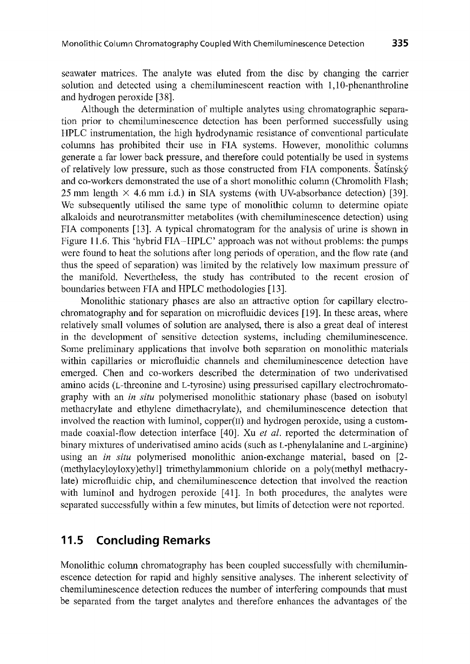seawater matrices. The analyte was eluted from the disc by changing the carrier solution and detected using a chemiluminescent reaction with 1, 10-phenanthroline and hydrogen peroxide [3 8].

Although the determination of multiple analytes using chromatographic separation prior to chemiluminescence detection has been performed successfully using HPLC instrumentation, the high hydrodynamic resistance of conventional particulate columns has prohibited their use in FIA systems. However, monolithic columns generate a far lower back pressure, and therefore could potentially be used in systems of relatively low pressure, such as those constructed from FIA components. Satinsky and co-workers demonstrated the use of a short monolithic column (Chromolith Flash; 25 mm length  $\times$  4.6 mm i.d.) in SIA systems (with UV-absorbance detection) [39]. We subsequently utilised the same type of monolithic column to determine opiate alkaloids and neurotransmitter metabolites (with chemiluminescence detection) using FIA components [13]. A typical chromatogram for the analysis of urine is shown in Figure 11.6. This 'hybrid FIA-HPLC' approach was not without problems: the pumps were found to heat the solutions after long periods of operation, and the flow rate (and thus the speed of separation) was limited by the relatively low maximum pressure of the manifold. Nevertheless, the study has contributed to the recent erosion of boundaries between FIA and HPLC methodologies [13].

Monolithic stationary phases are also an attractive option for capillary electrochromatography and for separation on microfluidic devices [19]. In these areas, where relatively small volumes of solution are analysed, there is also a great deal of interest in the development of sensitive detection systems, including chemiluminescence. Some preliminary applications that involve both separation on monolithic materials within capillaries or microfluidic channels and chemiluminescence detection have emerged. Chen and co-workers described the determination of two underivatised amino acids (L-threonine and L-tyrosine) using pressurised capillary electrochromatography with an *in situ* polymerised monolithic stationary phase (based on isobutyl methacrylate and ethylene dimethacrylate ), and chemiluminescence detection that involved the reaction with luminol,  $copper(II)$  and hydrogen peroxide, using a custommade coaxial-flow detection interface [40]. Xu *et al.* reported the determination of binary mixtures of underivatised amino acids (such as L-phenylalanine and L-arginine) using an *in situ* polymerised monolithic anion-exchange material, based on [2- (methylacyloyloxy)ethyl] trimethylammonium chloride on a poly(methyl methacrylate) microfluidic chip, and chemiluminescence detection that involved the reaction with luminol and hydrogen peroxide [41]. In both procedures, the analytes were separated successfully within a few minutes, but limits of detection were not reported.

### **11.5 Concluding Remarks**

Monolithic column chromatography has been coupled successfully with chemiluminescence detection for rapid and highly sensitive analyses. The inherent selectivity of chemiluminescence detection reduces the number of interfering compounds that must be separated from the target analytes and therefore enhances the advantages of the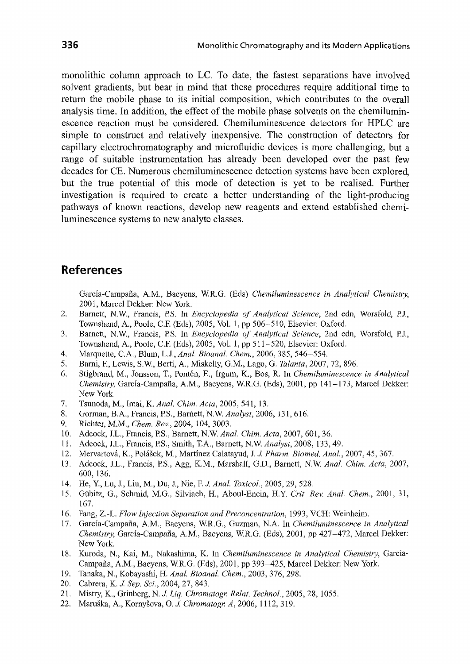monolithic column approach to LC. To date, the fastest separations have involved solvent gradients, but bear in mind that these procedures require additional time to return the mobile phase to its initial composition, which contributes to the overall analysis time. In addition, the effect of the mobile phase solvents on the chemiluminescence reaction must be considered. Chemiluminescence detectors for HPLC are simple to construct and relatively inexpensive. The construction of detectors for capillary electrochromatography and microfluidic devices is more challenging, but a range of suitable instrumentation has already been developed over the past few decades for CE. Numerous chemiluminescence detection systems have been explored, but the true potential of this mode of detection is yet to be realised. Further investigation is required to create a better understanding of the light-producing pathways of known reactions, develop new reagents and extend established chemiluminescence systems to new analyte classes.

#### **References**

Garcia-Campana, A.M., Baeyens, W.R.G. (Eds) *Chemiluminescence in Analytical Chemistry,*  2001, Marcel Dekker: New York.

- 2. Barnett, N.W., Francis, P.S. In *Encyclopedia of Analytical Science,* 2nd edn, Worsfold, P.J., Townshend, A., Poole, C.F. (Eds), 2005, Vol. 1, pp 506-510, Elsevier: Oxford.
- 3. Barnett, N.W, Francis, P.S. In *Encyclopedia of Analytical Science,* 2nd edn, Worsfold, P.J., Townshend, A., Poole, C.F. (Eds), 2005, Vol. 1, pp 511-520, Elsevier: Oxford.
- 4. Marquette, C.A., Blum, L.J., *Anal. Bioanal. Chem.,* 2006, 385, 546-554.
- 5. Bami, F., Lewis, S.W., Berti, A., Miskelly, G.M., Lago, G. *Talanta,* 2007, 72, 896.
- 6. Stigbrand, M., Jonsson, T., Ponten, E., lrgum, K., Bos, R. In *Chemiluminescence in Analytical Chemistry,* Garcia-Campana, A.M., Baeyens, WR.G. (Eds), 2001, pp 141-173, Marcel Dekker: New York.
- 7. Tsunoda, M., Imai, K. *Anal. Chim. Acta,* 2005, 541, 13.
- 8. Gorman, B.A., Francis, P.S., Barnett, N.W. *Analyst,* 2006, 131, 616.
- 9. Richter, M.M., *Chem. Rev.,* 2004, 104, 3003.
- 10. Adcock, J.L., Francis, P.S., Barnett, N.W. *Anal. Chim. Acta,* 2007, 601, 36.
- 11. Adcock, J.L., Francis, P.S., Smith, T.A., Barnett, N.W. *Analyst,* 2008, 133, 49.
- 12. Mervartova, K., Polasek, M., Martinez Calatayud, J. J. *Pharm. Biomed. Anal.,* 2007, 45, 367.
- 13. Adcock, J.L., Francis, P.S., Agg, K.M., Marshall, G.D., Barnett, N.W *Anal. Chim. Acta,* 2007, 600, 136.
- 14. He, Y., Lu, J., Liu, M., Du, J., Nie, F. J. *Anal. Toxicol.,* 2005, 29, 528.
- 15. Gubitz, G., Schmid, M.G., Silviaeh, H., Aboul-Enein, H.Y. *Crit. Rev. Anal. Chem.,* 2001, 31, 167.
- 16. Fang, Z.-L. *Flow Injection Separation and Preconcentration,* 1993, VCH: Weinheim.
- 17. Garcia-Campana, A.M., Baeyens, W.R.G., Guzman, N.A. In *Chemiluminescence in Analytical Chemistry,* Garcia-Campana, A.M., Baeyens, WR.G. (Eds), 2001, pp 427-472, Marcel Dekker: New York.
- 18. Kuroda, N., Kai, M., Nakashima, K. In *Chemiluminescence in Analytical Chemistry,* Garcia-Campafia, A.M., Baeyens, W.R.G. (Eds), 2001, pp 393-425, Marcel Dekker: New York.
- 19. Tanaka, N., Kobayashi, H. *Anal. Bioanal. Chem.,* 2003, 376, 298.
- 20. Cabrera, K. J. *Sep. Sci.,* 2004, 27, 843.
- 21. Mistry, K., Grinberg, N. J. *Liq. Chromatogr. Relat. Technol.,* 2005, 28, 1055.
- 22. Maruska, A., Kornysova, 0. J. *Chromatogr. A,* 2006, 1112, 319.